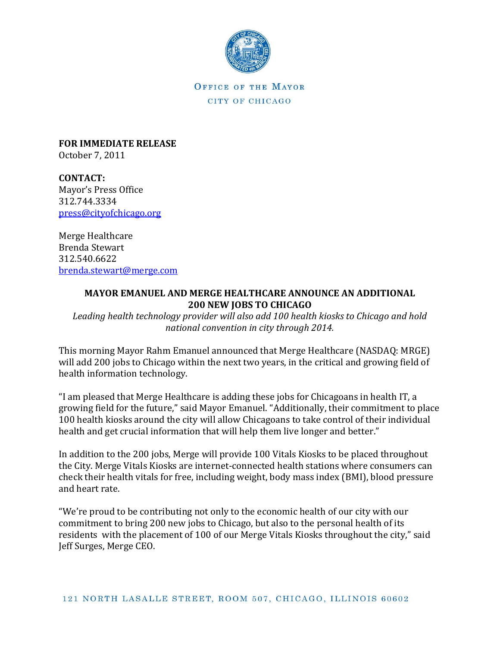

OFFICE OF THE MAYOR CITY OF CHICAGO

**FOR IMMEDIATE RELEASE** October 7, 2011

**CONTACT:** Mayor's Press Office 312.744.3334 [press@cityofchicago.org](mailto:press@cityofchicago.org)

Merge Healthcare Brenda Stewart 312.540.6622 [brenda.stewart@merge.com](mailto:brenda.stewart@merge.com)

## **MAYOR EMANUEL AND MERGE HEALTHCARE ANNOUNCE AN ADDITIONAL 200 NEW JOBS TO CHICAGO**

*Leading health technology provider will also add 100 health kiosks to Chicago and hold national convention in city through 2014.*

This morning Mayor Rahm Emanuel announced that Merge Healthcare (NASDAQ: MRGE) will add 200 jobs to Chicago within the next two years, in the critical and growing field of health information technology.

"I am pleased that Merge Healthcare is adding these jobs for Chicagoans in health IT, a growing field for the future," said Mayor Emanuel. "Additionally, their commitment to place 100 health kiosks around the city will allow Chicagoans to take control of their individual health and get crucial information that will help them live longer and better."

In addition to the 200 jobs, Merge will provide 100 Vitals Kiosks to be placed throughout the City. Merge Vitals Kiosks are internet-connected health stations where consumers can check their health vitals for free, including weight, body mass index (BMI), blood pressure and heart rate.

"We're proud to be contributing not only to the economic health of our city with our commitment to bring 200 new jobs to Chicago, but also to the personal health of its residents with the placement of 100 of our Merge Vitals Kiosks throughout the city," said Jeff Surges, Merge CEO.